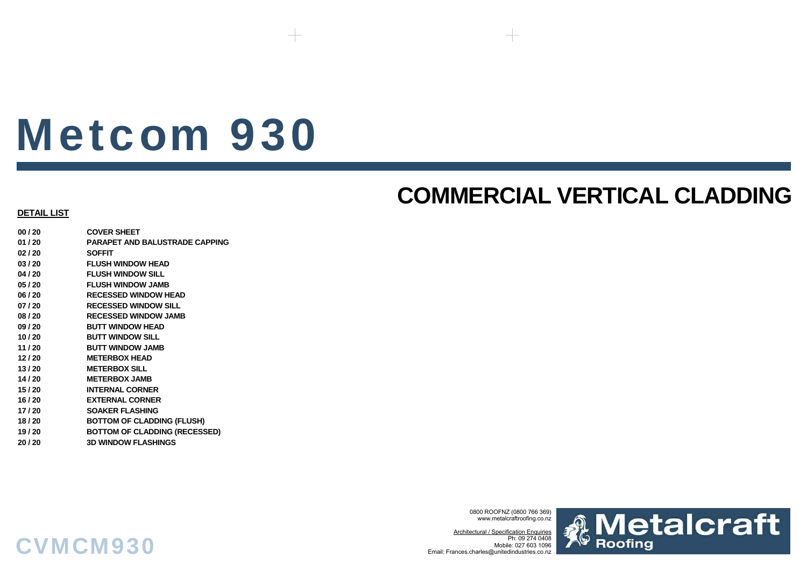# Metcom 930

### **COMMERCIAL VERTICAL CLADDING**

#### **DETAIL LIST**

**00 / 20 COVER SHEET01 / 20 PARAPET AND BALUSTRADE CAPPING02 / 20 SOFFIT03 / 20 FLUSH WINDOW HEAD04 / 20 FLUSH WINDOW SILL05 / 20 FLUSH WINDOW JAMB06 / 20 RECESSED WINDOW HEAD07 / 20 RECESSED WINDOW SILL08 / 20 RECESSED WINDOW JAMB09 / 20 BUTT WINDOW HEAD10 / 20 BUTT WINDOW SILL11 / 20 BUTT WINDOW JAMB12 / 20 METERBOX HEAD13 / 20 METERBOX SILL14 / 20 METERBOX JAMB 15 / 20 INTERNAL CORNER16 / 20 EXTERNAL CORNER17 / 20 SOAKER FLASHING18 / 20 BOTTOM OF CLADDING (FLUSH) 19 / 20 BOTTOM OF CLADDING (RECESSED) 20 / 20 3D WINDOW FLASHINGS**

CVMCM930

0800 ROOFNZ (0800 766 369) www.metalcraftroofing.co.nz

Architectural / Specification Enquiries Ph: 09 274 0408 Mobile: 027 603 1096Email: Frances.charles@unitedindustries.co.nz

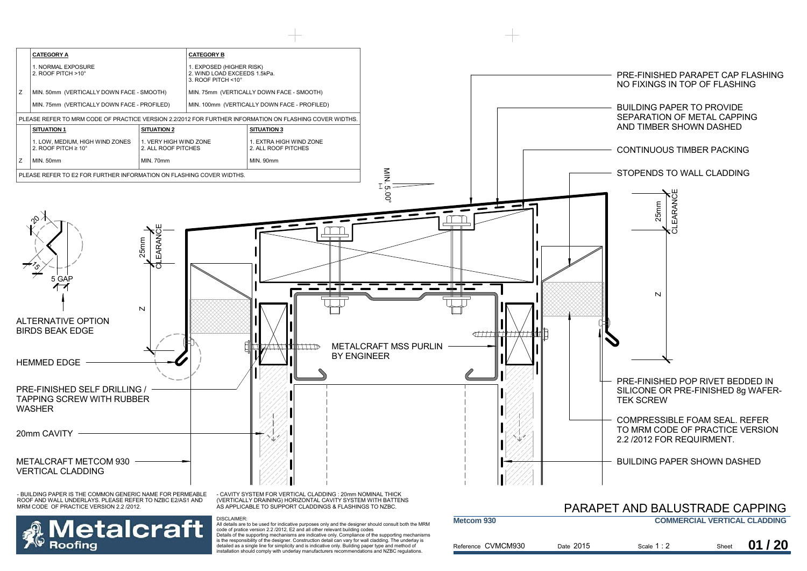

detailed as a single line for simplicity and is indicative only. Building paper type and method of installation should comply with underlay manufacturers recommendations and NZBC regulations.

|          |           |             |       | 01/20 |
|----------|-----------|-------------|-------|-------|
| CVMCM930 | Date 2015 | Scale 1 : 2 | Sheet |       |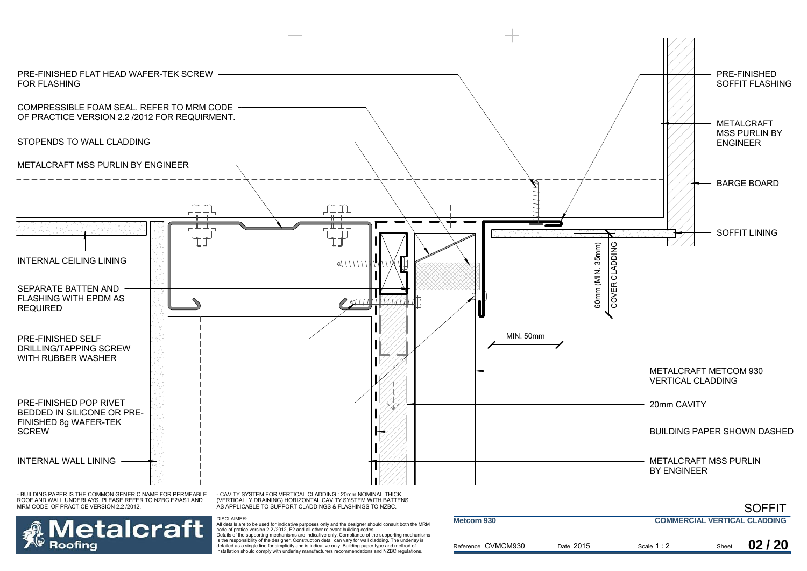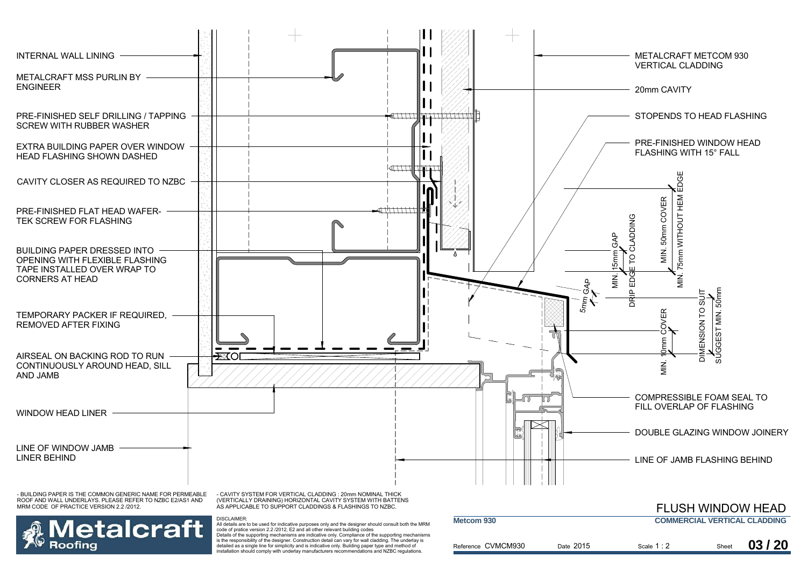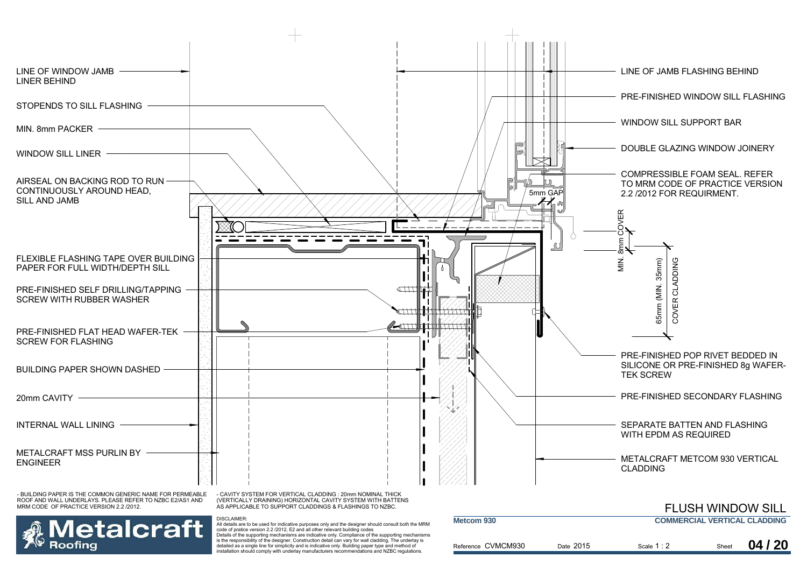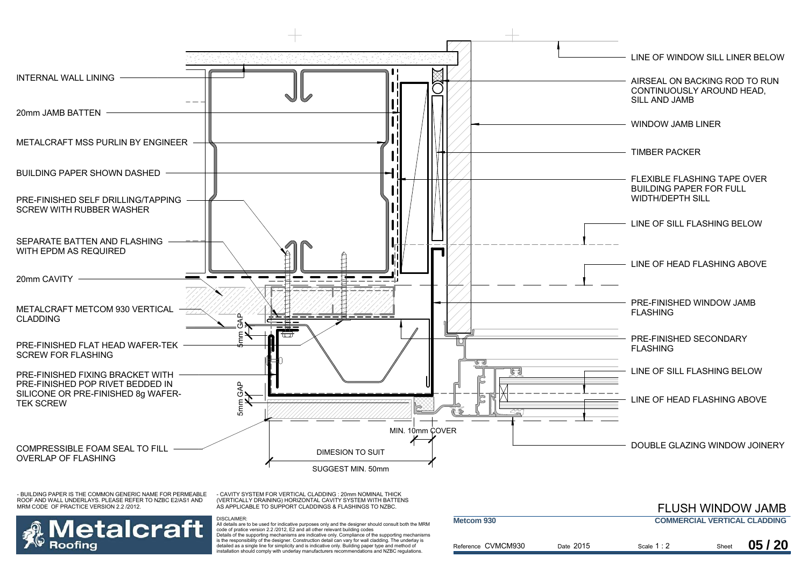

- CAVITY SYSTEM FOR VERTICAL CLADDING : 20mm NOMINAL THICK (VERTICALLY DRAINING) HORIZONTAL CAVITY SYSTEM WITH BATTENS AS APPLICABLE TO SUPPORT CLADDINGS & FLASHINGS TO NZBC.

DISCLAIMER:



|                    |           |                                     |       | <b>FLUSH WINDOW JAMB</b> |  |
|--------------------|-----------|-------------------------------------|-------|--------------------------|--|
| Metcom 930         |           | <b>COMMERCIAL VERTICAL CLADDING</b> |       |                          |  |
| Reference CVMCM930 | Date 2015 | Scale $1:2$                         | Sheet | 05/20                    |  |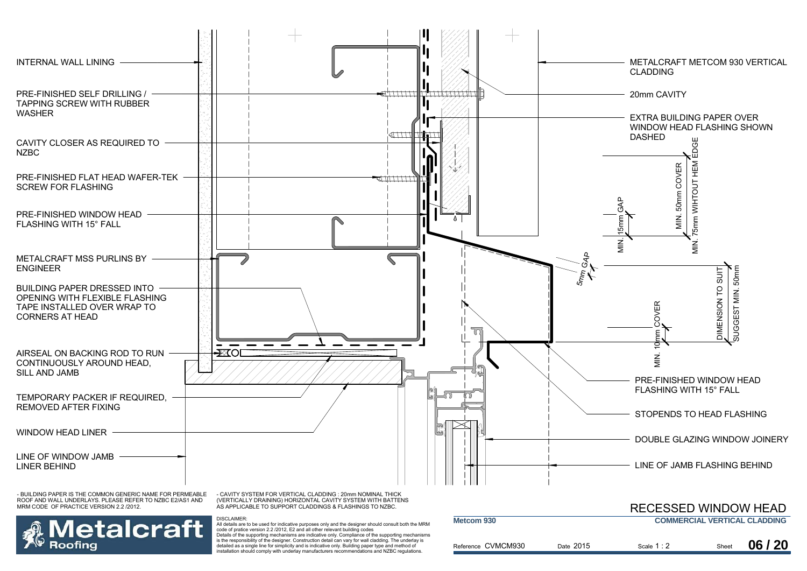

Reference CVMCM930

Date 2015

is the responsibility of the designer. Construction detail can vary for wall cladding. The underlay is detailed as a single line for simplicity and is indicative only. Building paper type and method of installation should comply with underlay manufacturers recommendations and NZBC regulations.

Roofina

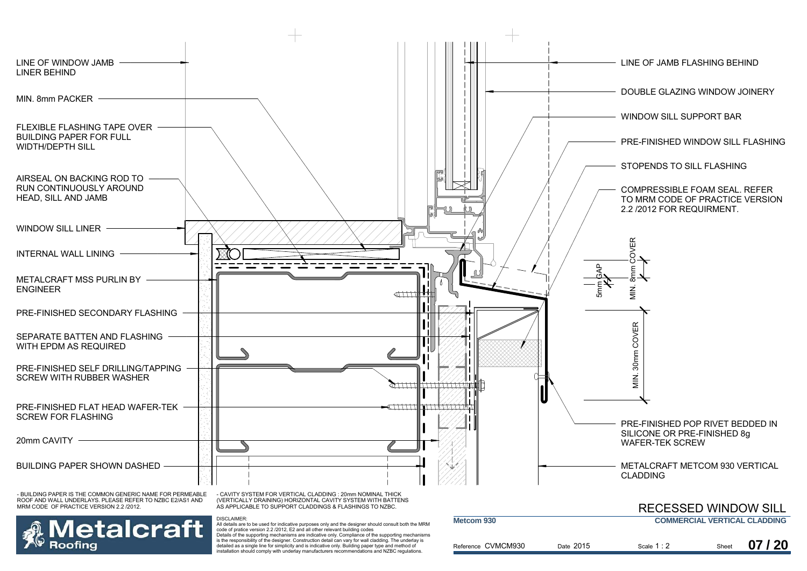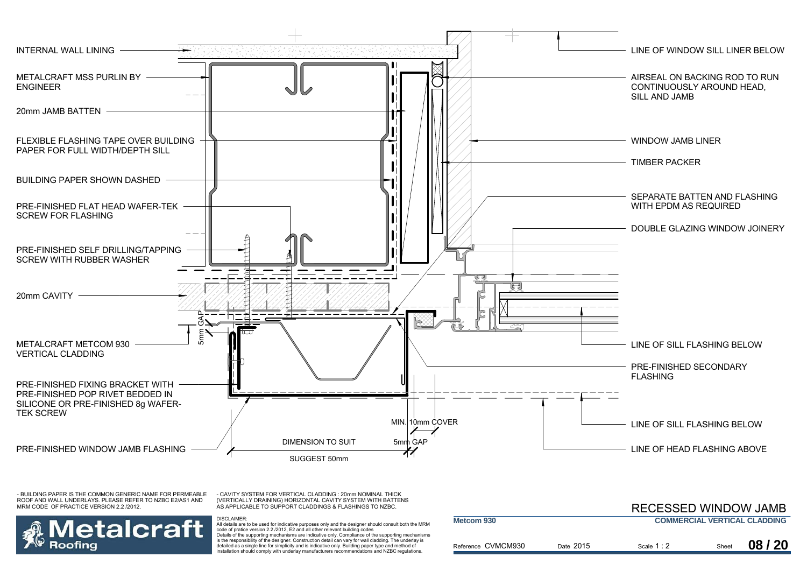

- CAVITY SYSTEM FOR VERTICAL CLADDING : 20mm NOMINAL THICK (VERTICALLY DRAINING) HORIZONTAL CAVITY SYSTEM WITH BATTENS AS APPLICABLE TO SUPPORT CLADDINGS & FLASHINGS TO NZBC.

DISCLAIMER:



|                    |           | <b>RECESSED WINDOW JAMB</b> |       |                                     |
|--------------------|-----------|-----------------------------|-------|-------------------------------------|
| Metcom 930         |           |                             |       | <b>COMMERCIAL VERTICAL CLADDING</b> |
| Reference CVMCM930 | Date 2015 | Scale 1 : 2                 | Sheet | 08/20                               |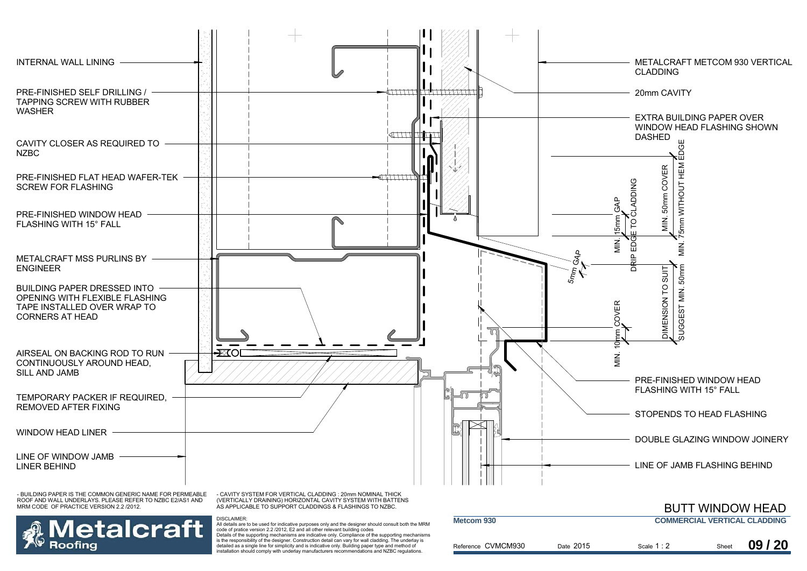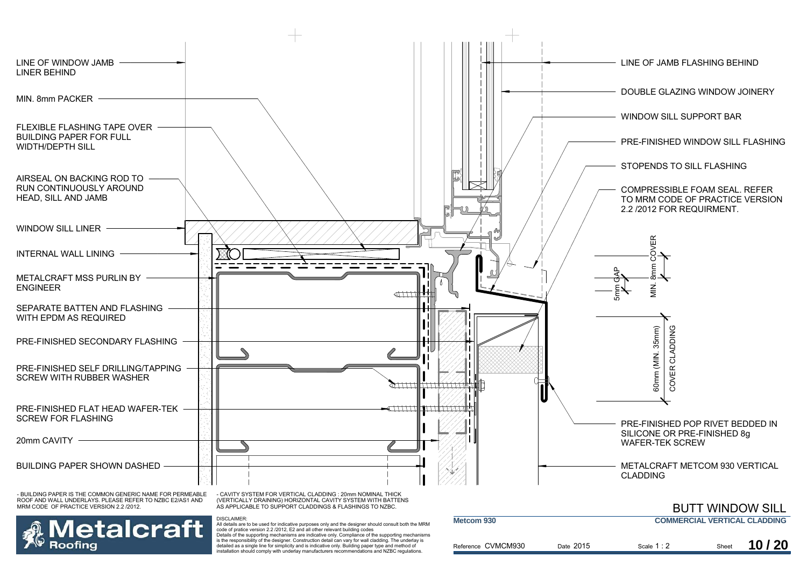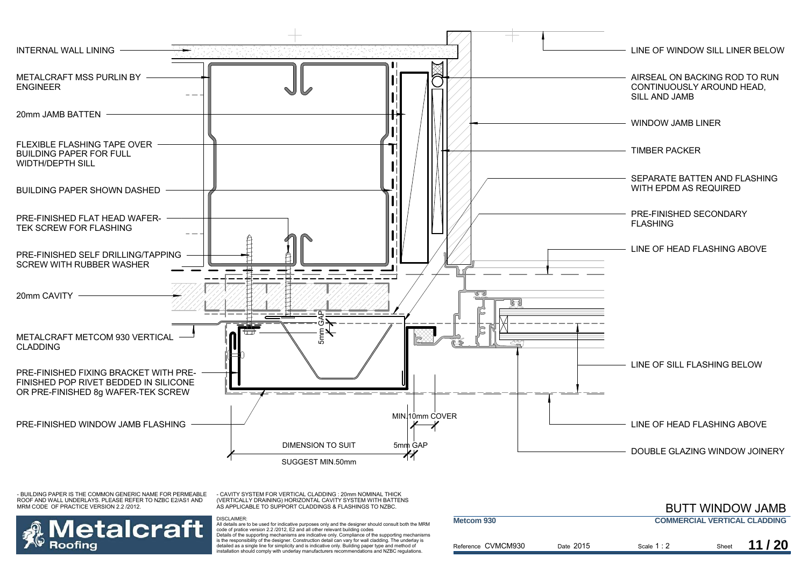

- CAVITY SYSTEM FOR VERTICAL CLADDING : 20mm NOMINAL THICK (VERTICALLY DRAINING) HORIZONTAL CAVITY SYSTEM WITH BATTENS AS APPLICABLE TO SUPPORT CLADDINGS & FLASHINGS TO NZBC.

DISCLAIMER:



|                    |           |                                     |       | <b>BUTT WINDOW JAMB</b> |  |
|--------------------|-----------|-------------------------------------|-------|-------------------------|--|
| Metcom 930         |           | <b>COMMERCIAL VERTICAL CLADDING</b> |       |                         |  |
| Reference CVMCM930 | Date 2015 | Scale $1:2$                         | Sheet | 11/20                   |  |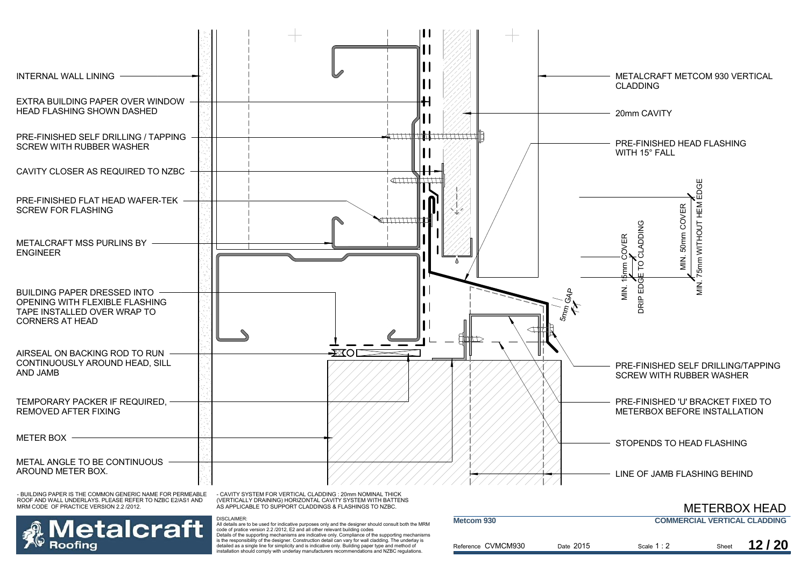

ROOF AND WALL UNDERLAYS. PLEASE REFER TO NZBC E2/AS1 AND MRM CODE OF PRACTICE VERSION 2.2 /2012.



DISCLAIMER:

**letalcraft** Roofina

|                    |           | <b>METERBOX HEAD</b>                |       |       |
|--------------------|-----------|-------------------------------------|-------|-------|
| Metcom 930         |           | <b>COMMERCIAL VERTICAL CLADDING</b> |       |       |
| Reference CVMCM930 | Date 2015 | Scale $1:2$                         | Sheet | 12/20 |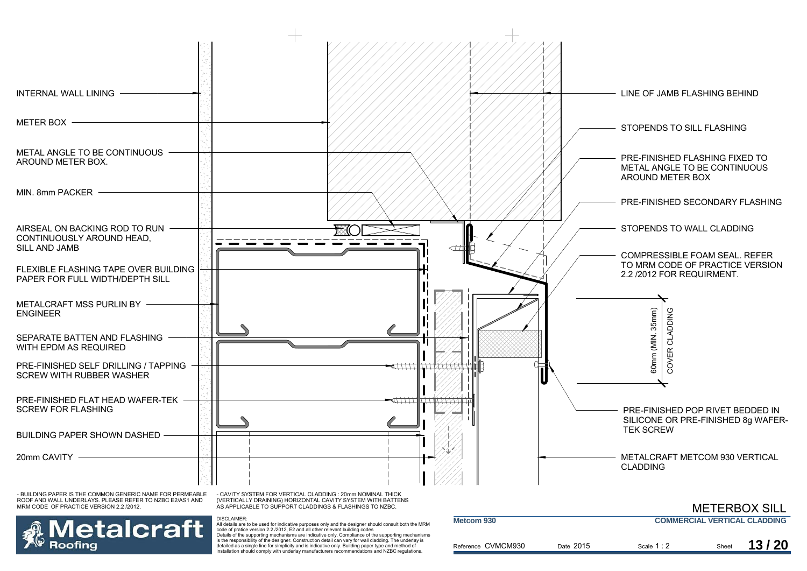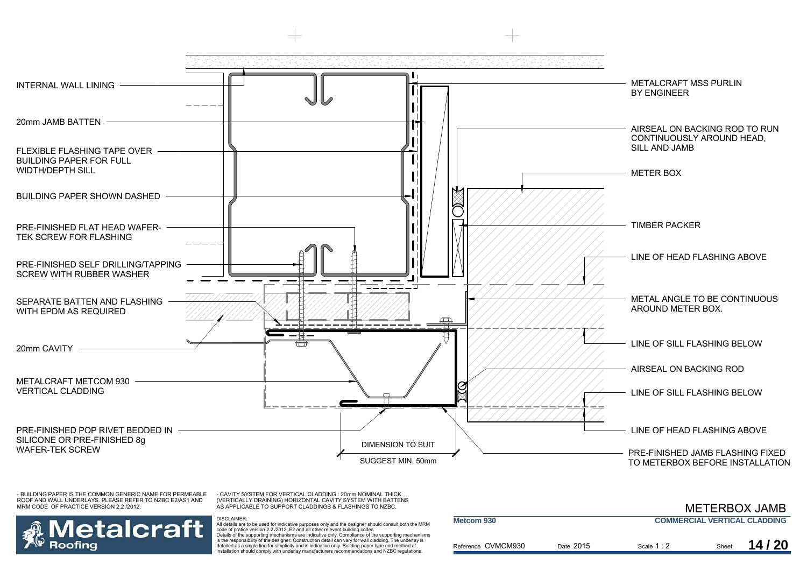

- CAVITY SYSTEM FOR VERTICAL CLADDING : 20mm NOMINAL THICK (VERTICALLY DRAINING) HORIZONTAL CAVITY SYSTEM WITH BATTENS AS APPLICABLE TO SUPPORT CLADDINGS & FLASHINGS TO NZBC.

DISCLAIMER:



|                    |           | <b>METERBOX JAMB</b>                |       |       |  |
|--------------------|-----------|-------------------------------------|-------|-------|--|
| Metcom 930         |           | <b>COMMERCIAL VERTICAL CLADDING</b> |       |       |  |
| Reference CVMCM930 | Date 2015 | Scale $1:2$                         | Sheet | 14/20 |  |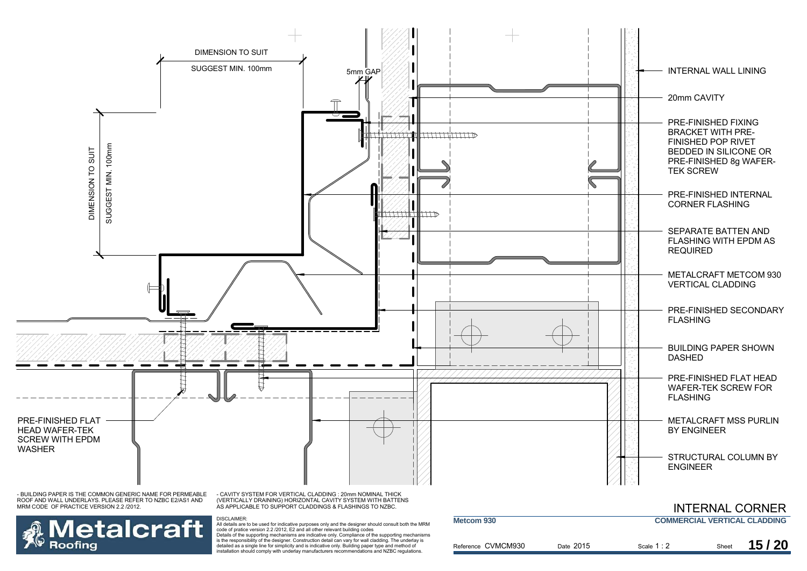

Details of the supporting mechanisms are indicative only. Compliance of the supporting mechanisms is the responsibility of the designer. Construction detail can vary for wall cladding. The underlay is detailed as a single line for simplicity and is indicative only. Building paper type and method of installation should comply with underlay manufacturers recommendations and NZBC regulations.

Roofing

| 15/20<br>Reference CVMCM930<br>Date 2015<br>Scale $1:2$<br>Sheet |  |  |  |
|------------------------------------------------------------------|--|--|--|
|                                                                  |  |  |  |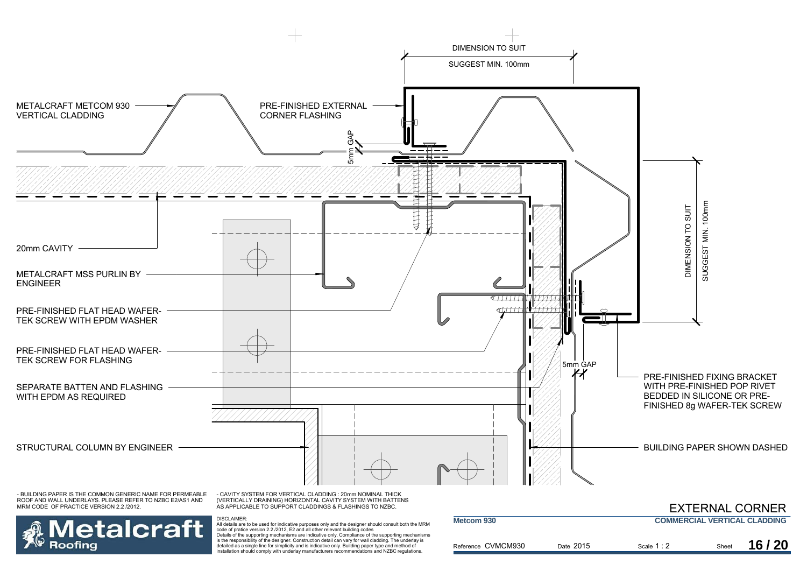

Details of the supporting mechanisms are indicative only. Compliance of the supporting mechanisms is the responsibility of the designer. Construction detail can vary for wall cladding. The underlay is detailed as a single line for simplicity and is indicative only. Building paper type and method of installation should comply with underlay manufacturers recommendations and NZBC regulations.

Roofina

| Metcom 930         |           |             |       | <b>COMMERCIAL VERTICAL CLADDING</b> |
|--------------------|-----------|-------------|-------|-------------------------------------|
| Reference CVMCM930 | Date 2015 | Scale $1:2$ | Sheet | 16/20                               |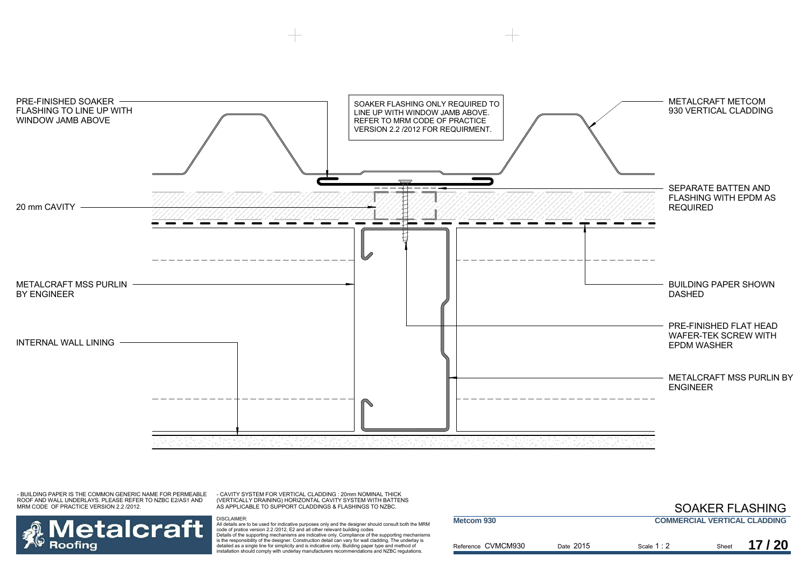

- CAVITY SYSTEM FOR VERTICAL CLADDING : 20mm NOMINAL THICK (VERTICALLY DRAINING) HORIZONTAL CAVITY SYSTEM WITH BATTENS AS APPLICABLE TO SUPPORT CLADDINGS & FLASHINGS TO NZBC.

DISCLAIMER:



|                    |           |             |       | <b>SOAKER FLASHING</b>              |
|--------------------|-----------|-------------|-------|-------------------------------------|
| Metcom 930         |           |             |       | <b>COMMERCIAL VERTICAL CLADDING</b> |
| Reference CVMCM930 | Date 2015 | Scale $1:2$ | Sheet | 17/20                               |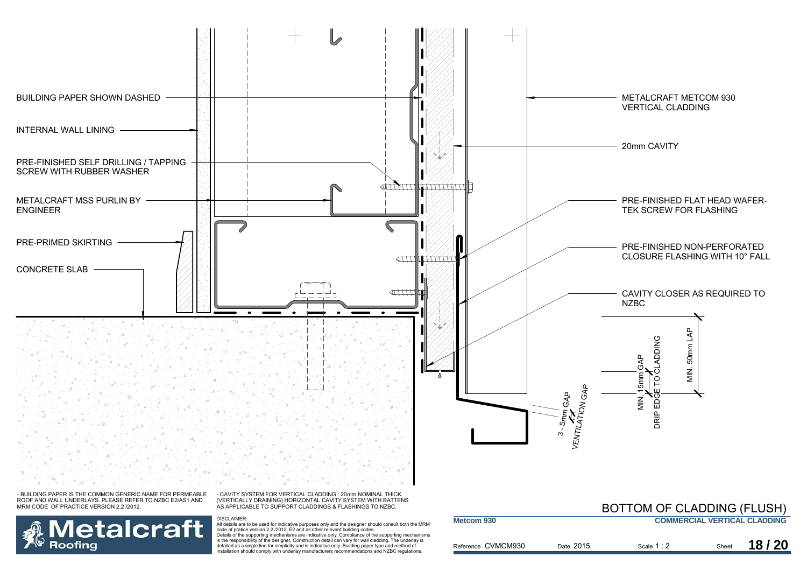

Details of the supporting mechanisms are indicative only. Compliance of the supporting mechanisms is the responsibility of the designer. Construction detail can vary for wall cladding. The underlay is detailed as a single line for simplicity and is indicative only. Building paper type and method of installation should comply with underlay manufacturers recommendations and NZBC regulations.

**Roofing** 

#### Reference CVMCM930 Date 2015 Scale Sheet 1 : 22 Sheet **18/20**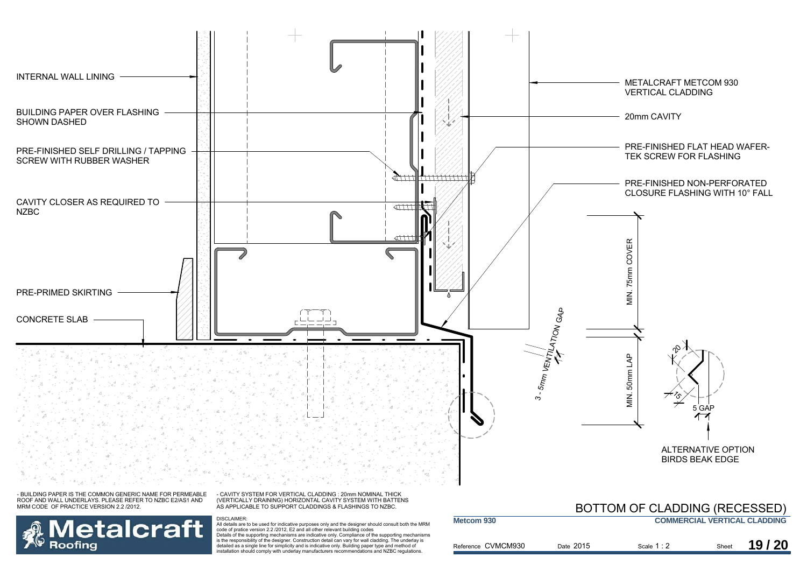